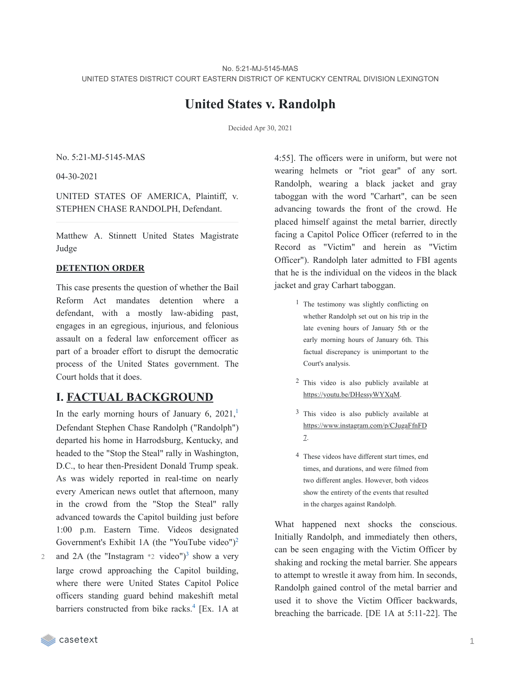# **United States v. Randolph**

Decided Apr 30, 2021

No. 5:21-MJ-5145-MAS

04-30-2021

UNITED STATES OF AMERICA, Plaintiff, v. STEPHEN CHASE RANDOLPH, Defendant.

Matthew A. Stinnett United States Magistrate Judge

#### **DETENTION ORDER**

This case presents the question of whether the Bail Reform Act mandates detention where a defendant, with a mostly law-abiding past, engages in an egregious, injurious, and felonious assault on a federal law enforcement officer as part of a broader effort to disrupt the democratic process of the United States government. The Court holds that it does.

## **I. FACTUAL BACKGROUND**

In the early morning hours of January 6,  $2021$  $2021$ ,<sup>1</sup> Defendant Stephen Chase Randolph ("Randolph") departed his home in Harrodsburg, Kentucky, and headed to the "Stop the Steal" rally in Washington, D.C., to hear then-President Donald Trump speak. As was widely reported in real-time on nearly every American news outlet that afternoon, many in the crowd from the "Stop the Steal" rally advanced towards the Capitol building just before 1:00 p.m. Eastern Time. Videos designated Government's Exhibit 1A (the "YouTube video")<sup>[2](https://casetext.com/_print/doc/united-states-v-randolph-77?_printIncludeHighlights=false&_printIncludeKeyPassages=false&_printIsTwoColumn=true&_printEmail=&_printHighlightsKey=#N196634)</sup>

and 2A (the "Instagram  $*2$  video")<sup>[3](https://casetext.com/_print/doc/united-states-v-randolph-77?_printIncludeHighlights=false&_printIncludeKeyPassages=false&_printIsTwoColumn=true&_printEmail=&_printHighlightsKey=#N196643)</sup> show a very large crowd approaching the Capitol building, where there were United States Capitol Police officers standing guard behind makeshift metal barriers constructed from bike racks.<sup>[4](https://casetext.com/_print/doc/united-states-v-randolph-77?_printIncludeHighlights=false&_printIncludeKeyPassages=false&_printIsTwoColumn=true&_printEmail=&_printHighlightsKey=#N196648)</sup> [Ex. 1A at 2

4:55]. The officers were in uniform, but were not wearing helmets or "riot gear" of any sort. Randolph, wearing a black jacket and gray taboggan with the word "Carhart", can be seen advancing towards the front of the crowd. He placed himself against the metal barrier, directly facing a Capitol Police Officer (referred to in the Record as "Victim" and herein as "Victim Officer"). Randolph later admitted to FBI agents that he is the individual on the videos in the black jacket and gray Carhart taboggan.

- <sup>1</sup> The testimony was slightly conflicting on whether Randolph set out on his trip in the late evening hours of January 5th or the early morning hours of January 6th. This factual discrepancy is unimportant to the Court's analysis.
- 2 This video is also publicly available at https://youtu.be/DHessyWYXqM.
- 3 This video is also publicly available at https://www.instagram.com/p/CJugaFfnFD 7.
- 4 These videos have different start times, end times, and durations, and were filmed from two different angles. However, both videos show the entirety of the events that resulted in the charges against Randolph.

What happened next shocks the conscious. Initially Randolph, and immediately then others, can be seen engaging with the Victim Officer by shaking and rocking the metal barrier. She appears to attempt to wrestle it away from him. In seconds, Randolph gained control of the metal barrier and used it to shove the Victim Officer backwards, breaching the barricade. [DE 1A at 5:11-22]. The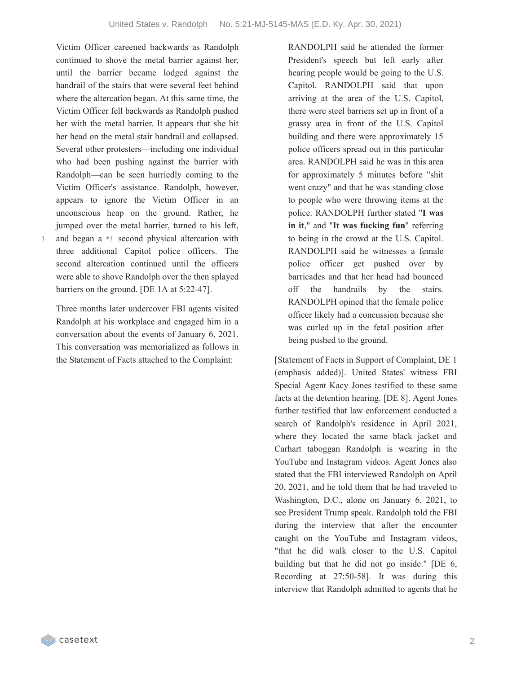Victim Officer careened backwards as Randolph continued to shove the metal barrier against her, until the barrier became lodged against the handrail of the stairs that were several feet behind where the altercation began. At this same time, the Victim Officer fell backwards as Randolph pushed her with the metal barrier. It appears that she hit her head on the metal stair handrail and collapsed. Several other protesters—including one individual who had been pushing against the barrier with Randolph—can be seen hurriedly coming to the Victim Officer's assistance. Randolph, however, appears to ignore the Victim Officer in an unconscious heap on the ground. Rather, he jumped over the metal barrier, turned to his left, and began a \*3 second physical altercation with three additional Capitol police officers. The second altercation continued until the officers were able to shove Randolph over the then splayed

barriers on the ground. [DE 1A at 5:22-47].

3

Three months later undercover FBI agents visited Randolph at his workplace and engaged him in a conversation about the events of January 6, 2021. This conversation was memorialized as follows in the Statement of Facts attached to the Complaint:

RANDOLPH said he attended the former President's speech but left early after hearing people would be going to the U.S. Capitol. RANDOLPH said that upon arriving at the area of the U.S. Capitol, there were steel barriers set up in front of a grassy area in front of the U.S. Capitol building and there were approximately 15 police officers spread out in this particular area. RANDOLPH said he was in this area for approximately 5 minutes before "shit went crazy" and that he was standing close to people who were throwing items at the police. RANDOLPH further stated "**I was in it**," and "**It was fucking fun**" referring to being in the crowd at the U.S. Capitol. RANDOLPH said he witnesses a female police officer get pushed over by barricades and that her head had bounced off the handrails by the stairs. RANDOLPH opined that the female police officer likely had a concussion because she was curled up in the fetal position after being pushed to the ground.

[Statement of Facts in Support of Complaint, DE 1 (emphasis added)]. United States' witness FBI Special Agent Kacy Jones testified to these same facts at the detention hearing. [DE 8]. Agent Jones further testified that law enforcement conducted a search of Randolph's residence in April 2021, where they located the same black jacket and Carhart taboggan Randolph is wearing in the YouTube and Instagram videos. Agent Jones also stated that the FBI interviewed Randolph on April 20, 2021, and he told them that he had traveled to Washington, D.C., alone on January 6, 2021, to see President Trump speak. Randolph told the FBI during the interview that after the encounter caught on the YouTube and Instagram videos, "that he did walk closer to the U.S. Capitol building but that he did not go inside." [DE 6, Recording at 27:50-58]. It was during this interview that Randolph admitted to agents that he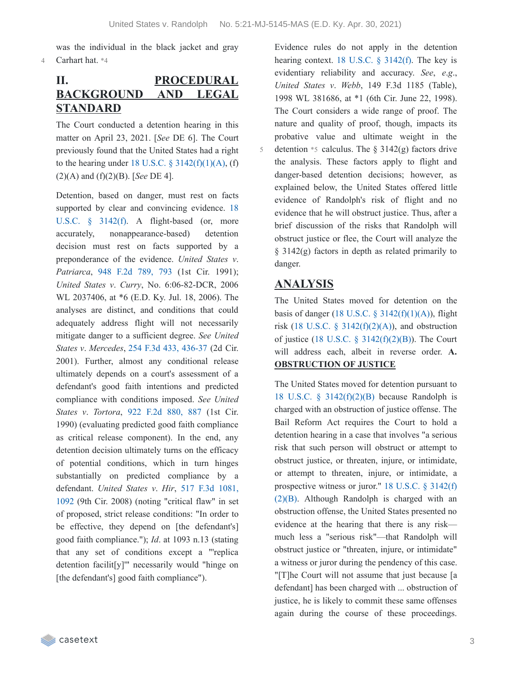5

was the individual in the black jacket and gray 4 Carhart hat. \*4

# **II. PROCEDURAL BACKGROUND AND LEGAL STANDARD**

The Court conducted a detention hearing in this matter on April 23, 2021. [*See* DE 6]. The Court previously found that the United States had a right to the hearing under 18 U.S.C.  $\S$  [3142\(f\)\(1\)\(A\),](https://casetext.com/statute/united-states-code/title-18-crimes-and-criminal-procedure/part-ii-criminal-procedure/chapter-207-release-and-detention-pending-judicial-proceedings/section-3142-release-or-detention-of-a-defendant-pending-trial) (f) (2)(A) and (f)(2)(B). [*See* DE 4].

Detention, based on danger, must rest on facts supported by clear and convincing evidence. 18 U.S.C. § 3142(f). A [flight-based](https://casetext.com/statute/united-states-code/title-18-crimes-and-criminal-procedure/part-ii-criminal-procedure/chapter-207-release-and-detention-pending-judicial-proceedings/section-3142-release-or-detention-of-a-defendant-pending-trial) (or, more accurately, nonappearance-based) detention decision must rest on facts supported by a preponderance of the evidence. *United States v*. *Patriarca*, 948 F.2d [789,](https://casetext.com/case/us-v-patriarca#p793) 793 (1st Cir. 1991); *United States v*. *Curry*, No. 6:06-82-DCR, 2006 WL 2037406, at \*6 (E.D. Ky. Jul. 18, 2006). The analyses are distinct, and conditions that could adequately address flight will not necessarily mitigate danger to a sufficient degree. *See United States v*. *Mercedes*, 254 F.3d 433, [436-37](https://casetext.com/case/us-v-mercedes-13#p436) (2d Cir. 2001). Further, almost any conditional release ultimately depends on a court's assessment of a defendant's good faith intentions and predicted compliance with conditions imposed. *See United States v*. *Tortora*, 922 F.2d [880,](https://casetext.com/case/us-v-tortora-3#p887) 887 (1st Cir. 1990) (evaluating predicted good faith compliance as critical release component). In the end, any detention decision ultimately turns on the efficacy of potential conditions, which in turn hinges substantially on predicted compliance by a [defendant.](https://casetext.com/case/us-v-hir#p1092) *United States v*. *Hir*, 517 F.3d 1081, 1092 (9th Cir. 2008) (noting "critical flaw" in set of proposed, strict release conditions: "In order to be effective, they depend on [the defendant's] good faith compliance."); *Id*. at 1093 n.13 (stating that any set of conditions except a "'replica detention facilit[y]'" necessarily would "hinge on [the defendant's] good faith compliance").

Evidence rules do not apply in the detention hearing context. 18 U.S.C. § [3142\(f\).](https://casetext.com/statute/united-states-code/title-18-crimes-and-criminal-procedure/part-ii-criminal-procedure/chapter-207-release-and-detention-pending-judicial-proceedings/section-3142-release-or-detention-of-a-defendant-pending-trial) The key is evidentiary reliability and accuracy. *See*, *e*.*g*., *United States v*. *Webb*, 149 F.3d 1185 (Table), 1998 WL 381686, at \*1 (6th Cir. June 22, 1998). The Court considers a wide range of proof. The nature and quality of proof, though, impacts its probative value and ultimate weight in the detention  $*$ 5 calculus. The § 3142(g) factors drive the analysis. These factors apply to flight and danger-based detention decisions; however, as explained below, the United States offered little evidence of Randolph's risk of flight and no evidence that he will obstruct justice. Thus, after a brief discussion of the risks that Randolph will obstruct justice or flee, the Court will analyze the  $§$  3142(g) factors in depth as related primarily to danger.

## **ANALYSIS**

The United States moved for detention on the basis of danger (18 U.S.C.  $\S$  [3142\(f\)\(1\)\(A\)](https://casetext.com/statute/united-states-code/title-18-crimes-and-criminal-procedure/part-ii-criminal-procedure/chapter-207-release-and-detention-pending-judicial-proceedings/section-3142-release-or-detention-of-a-defendant-pending-trial)), flight risk (18 U.S.C. § [3142\(f\)\(2\)\(A\)](https://casetext.com/statute/united-states-code/title-18-crimes-and-criminal-procedure/part-ii-criminal-procedure/chapter-207-release-and-detention-pending-judicial-proceedings/section-3142-release-or-detention-of-a-defendant-pending-trial)), and obstruction of justice (18 U.S.C.  $\S$  [3142\(f\)\(2\)\(B\)](https://casetext.com/statute/united-states-code/title-18-crimes-and-criminal-procedure/part-ii-criminal-procedure/chapter-207-release-and-detention-pending-judicial-proceedings/section-3142-release-or-detention-of-a-defendant-pending-trial)). The Court will address each, albeit in reverse order. **A. OBSTRUCTION OF JUSTICE**

The United States moved for detention pursuant to 18 U.S.C.  $\frac{1}{2}$  [3142\(f\)\(2\)\(B\)](https://casetext.com/statute/united-states-code/title-18-crimes-and-criminal-procedure/part-ii-criminal-procedure/chapter-207-release-and-detention-pending-judicial-proceedings/section-3142-release-or-detention-of-a-defendant-pending-trial) because Randolph is charged with an obstruction of justice offense. The Bail Reform Act requires the Court to hold a detention hearing in a case that involves "a serious risk that such person will obstruct or attempt to obstruct justice, or threaten, injure, or intimidate, or attempt to threaten, injure, or intimidate, a [prospective](https://casetext.com/statute/united-states-code/title-18-crimes-and-criminal-procedure/part-ii-criminal-procedure/chapter-207-release-and-detention-pending-judicial-proceedings/section-3142-release-or-detention-of-a-defendant-pending-trial) witness or juror." 18 U.S.C. § 3142(f) (2)(B). Although Randolph is charged with an obstruction offense, the United States presented no evidence at the hearing that there is any risk much less a "serious risk"—that Randolph will obstruct justice or "threaten, injure, or intimidate" a witness or juror during the pendency of this case. "[T]he Court will not assume that just because [a defendant] has been charged with ... obstruction of justice, he is likely to commit these same offenses again during the course of these proceedings.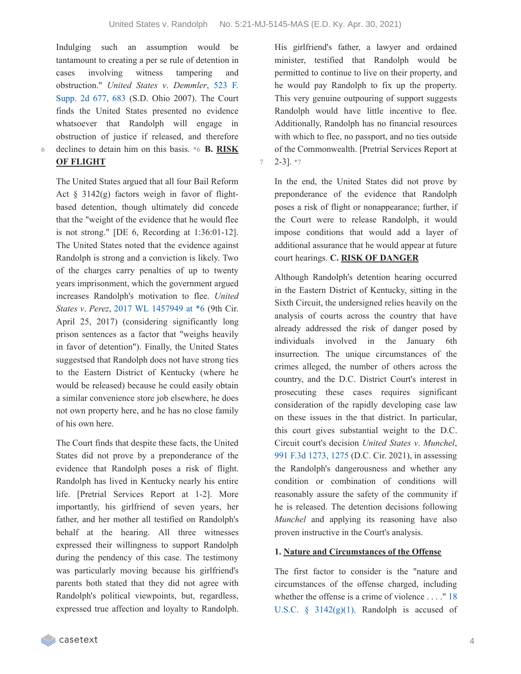Indulging such an assumption would be tantamount to creating a per se rule of detention in cases involving witness tampering and [obstruction."](https://casetext.com/case/us-v-demmler-3#p683) *United States v*. *Demmler*, 523 F. Supp. 2d 677, 683 (S.D. Ohio 2007). The Court finds the United States presented no evidence whatsoever that Randolph will engage in obstruction of justice if released, and therefore declines to detain him on this basis. \*6 **B. RISK**

6

## **OF FLIGHT**

The United States argued that all four Bail Reform Act  $\S$  3142(g) factors weigh in favor of flightbased detention, though ultimately did concede that the "weight of the evidence that he would flee is not strong." [DE 6, Recording at 1:36:01-12]. The United States noted that the evidence against Randolph is strong and a conviction is likely. Two of the charges carry penalties of up to twenty years imprisonment, which the government argued increases Randolph's motivation to flee. *United States v*. *Perez*, 2017 WL [1457949](https://casetext.com/case/united-states-v-perez-diaz-2#p6) at \*6 (9th Cir. April 25, 2017) (considering significantly long prison sentences as a factor that "weighs heavily in favor of detention"). Finally, the United States suggestsed that Randolph does not have strong ties to the Eastern District of Kentucky (where he would be released) because he could easily obtain a similar convenience store job elsewhere, he does not own property here, and he has no close family of his own here.

The Court finds that despite these facts, the United States did not prove by a preponderance of the evidence that Randolph poses a risk of flight. Randolph has lived in Kentucky nearly his entire life. [Pretrial Services Report at 1-2]. More importantly, his girlfriend of seven years, her father, and her mother all testified on Randolph's behalf at the hearing. All three witnesses expressed their willingness to support Randolph during the pendency of this case. The testimony was particularly moving because his girlfriend's parents both stated that they did not agree with Randolph's political viewpoints, but, regardless, expressed true affection and loyalty to Randolph.

His girlfriend's father, a lawyer and ordained minister, testified that Randolph would be permitted to continue to live on their property, and he would pay Randolph to fix up the property. This very genuine outpouring of support suggests Randolph would have little incentive to flee. Additionally, Randolph has no financial resources with which to flee, no passport, and no ties outside of the Commonwealth. [Pretrial Services Report at  $7 \quad 2-31 \cdot 7$ 

In the end, the United States did not prove by preponderance of the evidence that Randolph poses a risk of flight or nonappearance; further, if the Court were to release Randolph, it would impose conditions that would add a layer of additional assurance that he would appear at future court hearings. **C. RISK OF DANGER**

Although Randolph's detention hearing occurred in the Eastern District of Kentucky, sitting in the Sixth Circuit, the undersigned relies heavily on the analysis of courts across the country that have already addressed the risk of danger posed by individuals involved in the January 6th insurrection. The unique circumstances of the crimes alleged, the number of others across the country, and the D.C. District Court's interest in prosecuting these cases requires significant consideration of the rapidly developing case law on these issues in the that district. In particular, this court gives substantial weight to the D.C. Circuit court's decision *United States v*. *Munchel*, 991 F.3d [1273,](https://casetext.com/case/united-states-v-munchel-1#p1275) 1275 (D.C. Cir. 2021), in assessing the Randolph's dangerousness and whether any condition or combination of conditions will reasonably assure the safety of the community if he is released. The detention decisions following *Munchel* and applying its reasoning have also proven instructive in the Court's analysis.

#### **1. Nature and Circumstances of the Offense**

The first factor to consider is the "nature and circumstances of the offense charged, including whether the offense is a crime of violence . . . ." 18 U.S.C.  $\frac{1}{2}$  [3142\(g\)\(1\).](https://casetext.com/statute/united-states-code/title-18-crimes-and-criminal-procedure/part-ii-criminal-procedure/chapter-207-release-and-detention-pending-judicial-proceedings/section-3142-release-or-detention-of-a-defendant-pending-trial) Randolph is accused of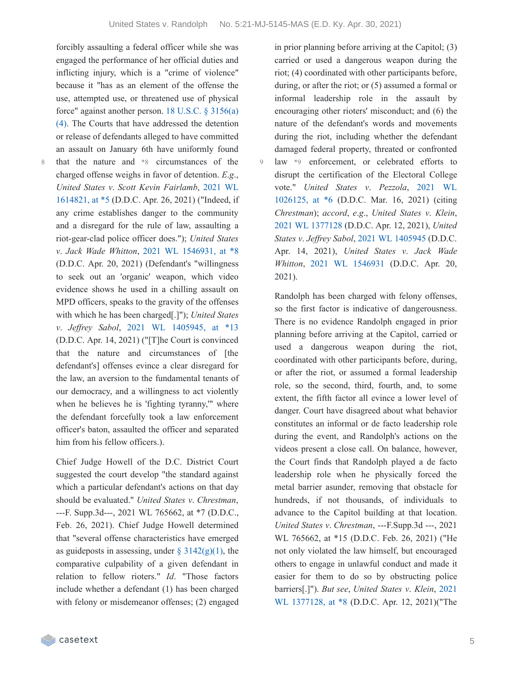9

forcibly assaulting a federal officer while she was engaged the performance of her official duties and inflicting injury, which is a "crime of violence" because it "has as an element of the offense the use, attempted use, or threatened use of physical force" against another person. 18 U.S.C. § 3156(a) (4). The Courts that have [addressed](https://casetext.com/statute/united-states-code/title-18-crimes-and-criminal-procedure/part-ii-criminal-procedure/chapter-207-release-and-detention-pending-judicial-proceedings/section-3156-definitions) the detention or release of defendants alleged to have committed an assault on January 6th have uniformly found that the nature and \*8 circumstances of the charged offense weighs in favor of detention. *E*.*g*., *United States v*. *Scott Kevin [Fairlamb](https://casetext.com/case/united-states-v-fairlamb#p5)*, 2021 WL 1614821, at \*5 (D.D.C. Apr. 26, 2021) ("Indeed, if any crime establishes danger to the community and a disregard for the rule of law, assaulting a riot-gear-clad police officer does."); *United States v*. *Jack Wade Whitton*, 2021 WL [1546931,](https://casetext.com/case/united-states-v-whitton-1#p8) at \*8 (D.D.C. Apr. 20, 2021) (Defendant's "willingness to seek out an 'organic' weapon, which video evidence shows he used in a chilling assault on MPD officers, speaks to the gravity of the offenses with which he has been charged[.]"); *United States v*. *Jef rey Sabol*, 2021 WL [1405945,](https://casetext.com/case/united-states-v-sabol-1#p13) at \*13 (D.D.C. Apr. 14, 2021) ("[T]he Court is convinced that the nature and circumstances of [the defendant's] offenses evince a clear disregard for the law, an aversion to the fundamental tenants of our democracy, and a willingness to act violently when he believes he is 'fighting tyranny,'" where the defendant forcefully took a law enforcement officer's baton, assaulted the officer and separated him from his fellow officers.).

8

Chief Judge Howell of the D.C. District Court suggested the court develop "the standard against which a particular defendant's actions on that day should be evaluated." *United States v*. *Chrestman*, ---F. Supp.3d---, 2021 WL 765662, at \*7 (D.D.C., Feb. 26, 2021). Chief Judge Howell determined that "several offense characteristics have emerged as guideposts in assessing, under  $\S$  [3142\(g\)\(1\)](https://casetext.com/statute/united-states-code/title-18-crimes-and-criminal-procedure/part-ii-criminal-procedure/chapter-207-release-and-detention-pending-judicial-proceedings/section-3142-release-or-detention-of-a-defendant-pending-trial), the comparative culpability of a given defendant in relation to fellow rioters." *Id*. "Those factors include whether a defendant (1) has been charged with felony or misdemeanor offenses; (2) engaged in prior planning before arriving at the Capitol; (3) carried or used a dangerous weapon during the riot; (4) coordinated with other participants before, during, or after the riot; or (5) assumed a formal or informal leadership role in the assault by encouraging other rioters' misconduct; and (6) the nature of the defendant's words and movements during the riot, including whether the defendant damaged federal property, threated or confronted law \*9 enforcement, or celebrated efforts to disrupt the certification of the Electoral College vote." *United States v*. *Pezzola*, 2021 WL [1026125,](https://casetext.com/case/united-states-v-pezzola#p6) at \*6 (D.D.C. Mar. 16, 2021) (citing *Chrestman*); *accord*, *e*.*g*., *United States v*. *Klein*, 2021 WL [1377128](https://casetext.com/case/united-states-v-klein-95) (D.D.C. Apr. 12, 2021), *United States v*. *Jef rey Sabol*, 2021 WL [1405945](https://casetext.com/case/united-states-v-sabol-1) (D.D.C. Apr. 14, 2021), *United States v*. *Jack Wade Whitton*, 2021 WL [1546931](https://casetext.com/case/united-states-v-whitton-1) (D.D.C. Apr. 20, 2021).

Randolph has been charged with felony offenses, so the first factor is indicative of dangerousness. There is no evidence Randolph engaged in prior planning before arriving at the Capitol, carried or used a dangerous weapon during the riot, coordinated with other participants before, during, or after the riot, or assumed a formal leadership role, so the second, third, fourth, and, to some extent, the fifth factor all evince a lower level of danger. Court have disagreed about what behavior constitutes an informal or de facto leadership role during the event, and Randolph's actions on the videos present a close call. On balance, however, the Court finds that Randolph played a de facto leadership role when he physically forced the metal barrier asunder, removing that obstacle for hundreds, if not thousands, of individuals to advance to the Capitol building at that location. *United States v*. *Chrestman*, ---F.Supp.3d ---, 2021 WL 765662, at \*15 (D.D.C. Feb. 26, 2021) ("He not only violated the law himself, but encouraged others to engage in unlawful conduct and made it easier for them to do so by obstructing police [barriers\[.\]"\).](https://casetext.com/case/united-states-v-klein-95#p8) *But see*, *United States v*. *Klein*, 2021 WL 1377128, at \*8 (D.D.C. Apr. 12, 2021)("The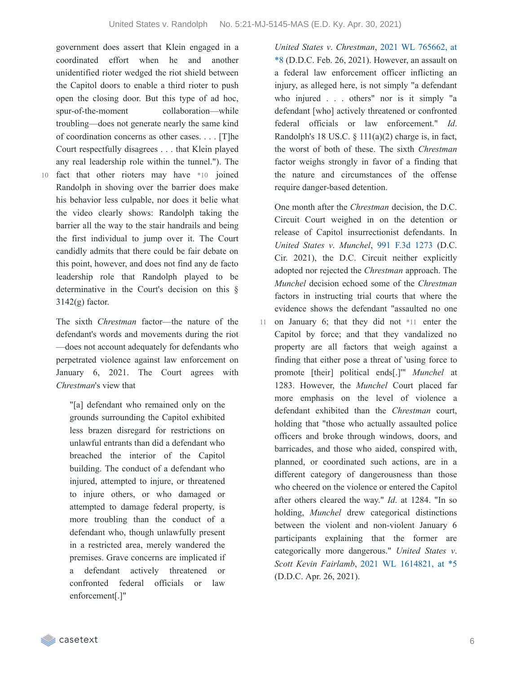government does assert that Klein engaged in a coordinated effort when he and another unidentified rioter wedged the riot shield between the Capitol doors to enable a third rioter to push open the closing door. But this type of ad hoc, spur-of-the-moment collaboration—while troubling—does not generate nearly the same kind of coordination concerns as other cases. . . . [T]he Court respectfully disagrees . . . that Klein played any real leadership role within the tunnel."). The

10 fact that other rioters may have \*10 joined Randolph in shoving over the barrier does make his behavior less culpable, nor does it belie what the video clearly shows: Randolph taking the barrier all the way to the stair handrails and being the first individual to jump over it. The Court candidly admits that there could be fair debate on this point, however, and does not find any de facto leadership role that Randolph played to be determinative in the Court's decision on this §  $3142(g)$  factor.

The sixth *Chrestman* factor—the nature of the defendant's words and movements during the riot —does not account adequately for defendants who perpetrated violence against law enforcement on January 6, 2021. The Court agrees with *Chrestman*'s view that

"[a] defendant who remained only on the grounds surrounding the Capitol exhibited less brazen disregard for restrictions on unlawful entrants than did a defendant who breached the interior of the Capitol building. The conduct of a defendant who injured, attempted to injure, or threatened to injure others, or who damaged or attempted to damage federal property, is more troubling than the conduct of a defendant who, though unlawfully present in a restricted area, merely wandered the premises. Grave concerns are implicated if a defendant actively threatened or confronted federal officials or law enforcement[.]"

*United States v*. *[Chrestman](https://casetext.com/case/united-states-v-chrestman-2#p8)*, 2021 WL 765662, at \*8 (D.D.C. Feb. 26, 2021). However, an assault on a federal law enforcement officer inflicting an injury, as alleged here, is not simply "a defendant who injured . . . others" nor is it simply "a defendant [who] actively threatened or confronted federal officials or law enforcement." *Id*. Randolph's 18 US.C.  $\S$  111(a)(2) charge is, in fact, the worst of both of these. The sixth *Chrestman* factor weighs strongly in favor of a finding that the nature and circumstances of the offense require danger-based detention.

One month after the *Chrestman* decision, the D.C. Circuit Court weighed in on the detention or release of Capitol insurrectionist defendants. In *United States v*. *Munchel*, 991 F.3d [1273](https://casetext.com/case/united-states-v-munchel-1) (D.C. Cir. 2021), the D.C. Circuit neither explicitly adopted nor rejected the *Chrestman* approach. The *Munchel* decision echoed some of the *Chrestman* factors in instructing trial courts that where the evidence shows the defendant "assaulted no one on January 6; that they did not \*11 enter the Capitol by force; and that they vandalized no property are all factors that weigh against a finding that either pose a threat of 'using force to promote [their] political ends[.]'" *Munchel* at 1283. However, the *Munchel* Court placed far more emphasis on the level of violence a defendant exhibited than the *Chrestman* court, holding that "those who actually assaulted police officers and broke through windows, doors, and barricades, and those who aided, conspired with, planned, or coordinated such actions, are in a different category of dangerousness than those who cheered on the violence or entered the Capitol after others cleared the way." *Id*. at 1284. "In so holding, *Munchel* drew categorical distinctions between the violent and non-violent January 6 participants explaining that the former are categorically more dangerous." *United States v*. *Scott Kevin Fairlamb*, 2021 WL [1614821,](https://casetext.com/case/united-states-v-fairlamb#p5) at \*5 (D.D.C. Apr. 26, 2021). 11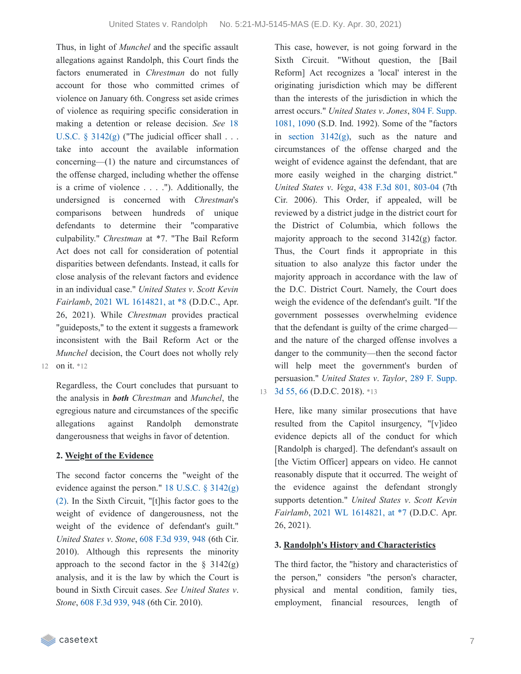Thus, in light of *Munchel* and the specific assault allegations against Randolph, this Court finds the factors enumerated in *Chrestman* do not fully account for those who committed crimes of violence on January 6th. Congress set aside crimes of violence as requiring specific consideration in making a [detention](https://casetext.com/statute/united-states-code/title-18-crimes-and-criminal-procedure/part-ii-criminal-procedure/chapter-207-release-and-detention-pending-judicial-proceedings/section-3142-release-or-detention-of-a-defendant-pending-trial) or release decision. *See* 18 U.S.C.  $\S$  3142(g) ("The judicial officer shall . . . take into account the available information concerning—(1) the nature and circumstances of the offense charged, including whether the offense is a crime of violence . . . ."). Additionally, the undersigned is concerned with *Chrestman*'s comparisons between hundreds of unique defendants to determine their "comparative culpability." *Chrestman* at \*7. "The Bail Reform Act does not call for consideration of potential disparities between defendants. Instead, it calls for close analysis of the relevant factors and evidence in an individual case." *United States v*. *Scott Kevin Fairlamb*, 2021 WL [1614821,](https://casetext.com/case/united-states-v-fairlamb#p8) at \*8 (D.D.C., Apr. 26, 2021). While *Chrestman* provides practical "guideposts," to the extent it suggests a framework inconsistent with the Bail Reform Act or the *Munchel* decision, the Court does not wholly rely

12 on it. \*12

Regardless, the Court concludes that pursuant to the analysis in *both Chrestman* and *Munchel*, the egregious nature and circumstances of the specific allegations against Randolph demonstrate dangerousness that weighs in favor of detention.

#### **2. Weight of the Evidence**

The second factor concerns the "weight of the [evidence](https://casetext.com/statute/united-states-code/title-18-crimes-and-criminal-procedure/part-ii-criminal-procedure/chapter-207-release-and-detention-pending-judicial-proceedings/section-3142-release-or-detention-of-a-defendant-pending-trial) against the person." 18 U.S.C.  $\S 3142(g)$ (2). In the Sixth Circuit, "[t]his factor goes to the weight of evidence of dangerousness, not the weight of the evidence of defendant's guilt." *United States v*. *Stone*, 608 F.3d [939,](https://casetext.com/case/u-s-v-stone#p948) 948 (6th Cir. 2010). Although this represents the minority approach to the second factor in the  $\S$  3142(g) analysis, and it is the law by which the Court is bound in Sixth Circuit cases. *See United States v*. *Stone*, 608 F.3d [939,](https://casetext.com/case/u-s-v-stone#p948) 948 (6th Cir. 2010).

This case, however, is not going forward in the Sixth Circuit. "Without question, the [Bail Reform] Act recognizes a 'local' interest in the originating jurisdiction which may be different than the interests of the jurisdiction in which the arrest [occurs."](https://casetext.com/case/us-v-jones-811#p1090) *United States v*. *Jones*, 804 F. Supp. 1081, 1090 (S.D. Ind. 1992). Some of the "factors in section  $3142(g)$ , such as the nature and circumstances of the offense charged and the weight of evidence against the defendant, that are more easily weighed in the charging district." *United States v*. *Vega*, 438 F.3d 801, [803-04](https://casetext.com/case/us-v-vega-73#p803) (7th Cir. 2006). This Order, if appealed, will be reviewed by a district judge in the district court for the District of Columbia, which follows the majority approach to the second 3142(g) factor. Thus, the Court finds it appropriate in this situation to also analyze this factor under the majority approach in accordance with the law of the D.C. District Court. Namely, the Court does weigh the evidence of the defendant's guilt. "If the government possesses overwhelming evidence that the defendant is guilty of the crime charged and the nature of the charged offense involves a danger to the community—then the second factor will help meet the government's burden of [persuasion."](https://casetext.com/case/united-states-v-taylor-915#p66) *United States v*. *Taylor*, 289 F. Supp.

13 3d 55, 66 (D.D.C. 2018). \*13

Here, like many similar prosecutions that have resulted from the Capitol insurgency, "[v]ideo evidence depicts all of the conduct for which [Randolph is charged]. The defendant's assault on [the Victim Officer] appears on video. He cannot reasonably dispute that it occurred. The weight of the evidence against the defendant strongly supports detention." *United States v*. *Scott Kevin Fairlamb*, 2021 WL [1614821,](https://casetext.com/case/united-states-v-fairlamb#p7) at \*7 (D.D.C. Apr. 26, 2021).

#### **3. Randolph's History and Characteristics**

The third factor, the "history and characteristics of the person," considers "the person's character, physical and mental condition, family ties, employment, financial resources, length of

**Example 20** casetext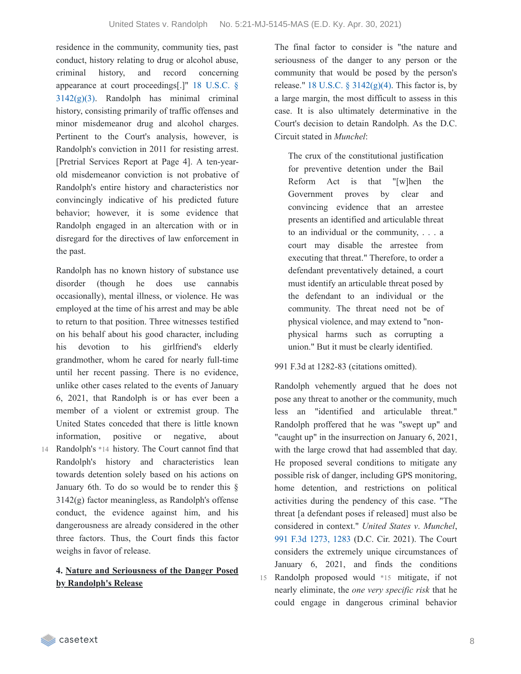residence in the community, community ties, past conduct, history relating to drug or alcohol abuse, criminal history, and record concerning appearance at court [proceedings\[.\]"](https://casetext.com/statute/united-states-code/title-18-crimes-and-criminal-procedure/part-ii-criminal-procedure/chapter-207-release-and-detention-pending-judicial-proceedings/section-3142-release-or-detention-of-a-defendant-pending-trial) 18 U.S.C. §  $3142(g)(3)$ . Randolph has minimal criminal history, consisting primarily of traffic offenses and minor misdemeanor drug and alcohol charges. Pertinent to the Court's analysis, however, is Randolph's conviction in 2011 for resisting arrest. [Pretrial Services Report at Page 4]. A ten-yearold misdemeanor conviction is not probative of Randolph's entire history and characteristics nor convincingly indicative of his predicted future behavior; however, it is some evidence that Randolph engaged in an altercation with or in disregard for the directives of law enforcement in the past.

Randolph has no known history of substance use disorder (though he does use cannabis occasionally), mental illness, or violence. He was employed at the time of his arrest and may be able to return to that position. Three witnesses testified on his behalf about his good character, including his devotion to his girlfriend's elderly grandmother, whom he cared for nearly full-time until her recent passing. There is no evidence, unlike other cases related to the events of January 6, 2021, that Randolph is or has ever been a member of a violent or extremist group. The United States conceded that there is little known information, positive or negative, about Randolph's \*14 history. The Court cannot find that Randolph's history and characteristics lean towards detention solely based on his actions on January 6th. To do so would be to render this § 3142(g) factor meaningless, as Randolph's offense conduct, the evidence against him, and his dangerousness are already considered in the other three factors. Thus, the Court finds this factor weighs in favor of release.

### **4. Nature and Seriousness of the Danger Posed by Randolph's Release**

The final factor to consider is "the nature and seriousness of the danger to any person or the community that would be posed by the person's release." 18 U.S.C.  $\S$  [3142\(g\)\(4\).](https://casetext.com/statute/united-states-code/title-18-crimes-and-criminal-procedure/part-ii-criminal-procedure/chapter-207-release-and-detention-pending-judicial-proceedings/section-3142-release-or-detention-of-a-defendant-pending-trial) This factor is, by a large margin, the most difficult to assess in this case. It is also ultimately determinative in the Court's decision to detain Randolph. As the D.C. Circuit stated in *Munchel*:

The crux of the constitutional justification for preventive detention under the Bail Reform Act is that "[w]hen the Government proves by clear and convincing evidence that an arrestee presents an identified and articulable threat to an individual or the community, . . . a court may disable the arrestee from executing that threat." Therefore, to order a defendant preventatively detained, a court must identify an articulable threat posed by the defendant to an individual or the community. The threat need not be of physical violence, and may extend to "nonphysical harms such as corrupting a union." But it must be clearly identified.

991 F.3d at 1282-83 (citations omitted).

Randolph vehemently argued that he does not pose any threat to another or the community, much less an "identified and articulable threat." Randolph proffered that he was "swept up" and "caught up" in the insurrection on January 6, 2021, with the large crowd that had assembled that day. He proposed several conditions to mitigate any possible risk of danger, including GPS monitoring, home detention, and restrictions on political activities during the pendency of this case. "The threat [a defendant poses if released] must also be considered in context." *United States v*. *Munchel*, 991 F.3d [1273,](https://casetext.com/case/united-states-v-munchel-1#p1283) 1283 (D.C. Cir. 2021). The Court considers the extremely unique circumstances of January 6, 2021, and finds the conditions Randolph proposed would \*15 mitigate, if not 15 nearly eliminate, the *one very specific risk* that he could engage in dangerous criminal behavior

14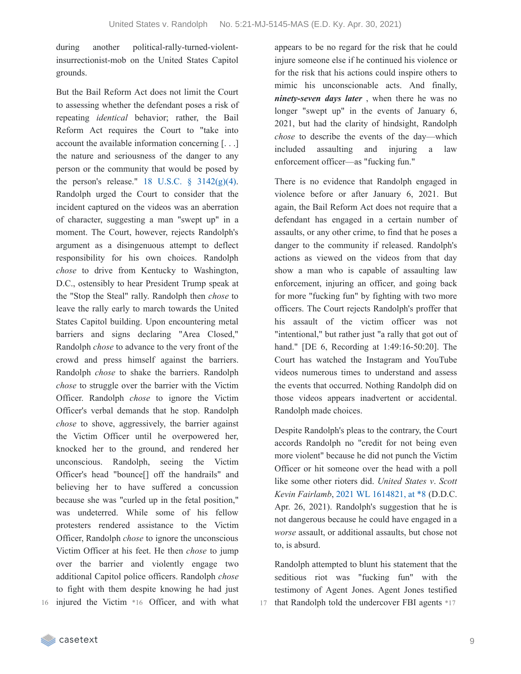during another political-rally-turned-violentinsurrectionist-mob on the United States Capitol grounds.

But the Bail Reform Act does not limit the Court to assessing whether the defendant poses a risk of repeating *identical* behavior; rather, the Bail Reform Act requires the Court to "take into account the available information concerning [. . .] the nature and seriousness of the danger to any person or the community that would be posed by the person's release." 18 U.S.C.  $\frac{8}{9}$  [3142\(g\)\(4\).](https://casetext.com/statute/united-states-code/title-18-crimes-and-criminal-procedure/part-ii-criminal-procedure/chapter-207-release-and-detention-pending-judicial-proceedings/section-3142-release-or-detention-of-a-defendant-pending-trial) Randolph urged the Court to consider that the incident captured on the videos was an aberration of character, suggesting a man "swept up" in a moment. The Court, however, rejects Randolph's argument as a disingenuous attempt to deflect responsibility for his own choices. Randolph *chose* to drive from Kentucky to Washington, D.C., ostensibly to hear President Trump speak at the "Stop the Steal" rally. Randolph then *chose* to leave the rally early to march towards the United States Capitol building. Upon encountering metal barriers and signs declaring "Area Closed," Randolph *chose* to advance to the very front of the crowd and press himself against the barriers. Randolph *chose* to shake the barriers. Randolph *chose* to struggle over the barrier with the Victim Officer. Randolph *chose* to ignore the Victim Officer's verbal demands that he stop. Randolph *chose* to shove, aggressively, the barrier against the Victim Officer until he overpowered her, knocked her to the ground, and rendered her unconscious. Randolph, seeing the Victim Officer's head "bounce[] off the handrails" and believing her to have suffered a concussion because she was "curled up in the fetal position," was undeterred. While some of his fellow protesters rendered assistance to the Victim Officer, Randolph *chose* to ignore the unconscious Victim Officer at his feet. He then *chose* to jump over the barrier and violently engage two additional Capitol police officers. Randolph *chose* to fight with them despite knowing he had just injured the Victim \*16 Officer, and with what appears to be no regard for the risk that he could injure someone else if he continued his violence or for the risk that his actions could inspire others to mimic his unconscionable acts. And finally, *ninety-seven days later* , when there he was no longer "swept up" in the events of January 6, 2021, but had the clarity of hindsight, Randolph *chose* to describe the events of the day—which included assaulting and injuring a law enforcement officer—as "fucking fun."

There is no evidence that Randolph engaged in violence before or after January 6, 2021. But again, the Bail Reform Act does not require that a defendant has engaged in a certain number of assaults, or any other crime, to find that he poses a danger to the community if released. Randolph's actions as viewed on the videos from that day show a man who is capable of assaulting law enforcement, injuring an officer, and going back for more "fucking fun" by fighting with two more officers. The Court rejects Randolph's proffer that his assault of the victim officer was not "intentional," but rather just "a rally that got out of hand." [DE 6, Recording at 1:49:16-50:20]. The Court has watched the Instagram and YouTube videos numerous times to understand and assess the events that occurred. Nothing Randolph did on those videos appears inadvertent or accidental. Randolph made choices.

Despite Randolph's pleas to the contrary, the Court accords Randolph no "credit for not being even more violent" because he did not punch the Victim Officer or hit someone over the head with a poll like some other rioters did. *United States v*. *Scott Kevin Fairlamb*, 2021 WL [1614821,](https://casetext.com/case/united-states-v-fairlamb#p8) at \*8 (D.D.C. Apr. 26, 2021). Randolph's suggestion that he is not dangerous because he could have engaged in a *worse* assault, or additional assaults, but chose not to, is absurd.

Randolph attempted to blunt his statement that the seditious riot was "fucking fun" with the testimony of Agent Jones. Agent Jones testified 17 that Randolph told the undercover FBI agents \*17

16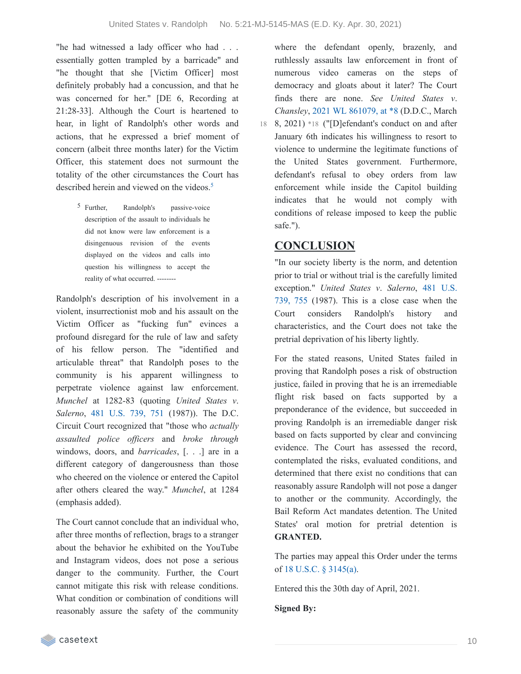"he had witnessed a lady officer who had . . . essentially gotten trampled by a barricade" and "he thought that she [Victim Officer] most definitely probably had a concussion, and that he was concerned for her." [DE 6, Recording at 21:28-33]. Although the Court is heartened to hear, in light of Randolph's other words and actions, that he expressed a brief moment of concern (albeit three months later) for the Victim Officer, this statement does not surmount the totality of the other circumstances the Court has described herein and viewed on the videos. [5](https://casetext.com/_print/doc/united-states-v-randolph-77?_printIncludeHighlights=false&_printIncludeKeyPassages=false&_printIsTwoColumn=true&_printEmail=&_printHighlightsKey=#N197190)

> 5 Further, Randolph's passive-voice description of the assault to individuals he did not know were law enforcement is a disingenuous revision of the events displayed on the videos and calls into question his willingness to accept the reality of what occurred. --------

Randolph's description of his involvement in a violent, insurrectionist mob and his assault on the Victim Officer as "fucking fun" evinces a profound disregard for the rule of law and safety of his fellow person. The "identified and articulable threat" that Randolph poses to the community is his apparent willingness to perpetrate violence against law enforcement. *Munchel* at 1282-83 (quoting *United States v*. *Salerno*, 481 [U.S.](https://casetext.com/case/united-states-v-salerno-7#p751) 739, 751 (1987)). The D.C. Circuit Court recognized that "those who *actually assaulted police of icers* and *broke through* windows, doors, and *barricades*, [. . .] are in a different category of dangerousness than those who cheered on the violence or entered the Capitol after others cleared the way." *Munchel*, at 1284 (emphasis added).

The Court cannot conclude that an individual who, after three months of reflection, brags to a stranger about the behavior he exhibited on the YouTube and Instagram videos, does not pose a serious danger to the community. Further, the Court cannot mitigate this risk with release conditions. What condition or combination of conditions will reasonably assure the safety of the community

where the defendant openly, brazenly, and ruthlessly assaults law enforcement in front of numerous video cameras on the steps of democracy and gloats about it later? The Court finds there are none. *See United States v*. *Chansley*, 2021 WL [861079,](https://casetext.com/case/united-states-v-chansley-1#p8) at \*8 (D.D.C., March

18 8, 2021) \*18 ("[D] efendant's conduct on and after January 6th indicates his willingness to resort to violence to undermine the legitimate functions of the United States government. Furthermore, defendant's refusal to obey orders from law enforcement while inside the Capitol building indicates that he would not comply with conditions of release imposed to keep the public safe.").

### **CONCLUSION**

"In our society liberty is the norm, and detention prior to trial or without trial is the carefully limited [exception."](https://casetext.com/case/united-states-v-salerno-7#p755) *United States v*. *Salerno*, 481 U.S. 739, 755 (1987). This is a close case when the Court considers Randolph's history and characteristics, and the Court does not take the pretrial deprivation of his liberty lightly.

For the stated reasons, United States failed in proving that Randolph poses a risk of obstruction justice, failed in proving that he is an irremediable flight risk based on facts supported by a preponderance of the evidence, but succeeded in proving Randolph is an irremediable danger risk based on facts supported by clear and convincing evidence. The Court has assessed the record, contemplated the risks, evaluated conditions, and determined that there exist no conditions that can reasonably assure Randolph will not pose a danger to another or the community. Accordingly, the Bail Reform Act mandates detention. The United States' oral motion for pretrial detention is **GRANTED.**

The parties may appeal this Order under the terms of 18 U.S.C. § [3145\(a\)](https://casetext.com/statute/united-states-code/title-18-crimes-and-criminal-procedure/part-ii-criminal-procedure/chapter-207-release-and-detention-pending-judicial-proceedings/section-3145-review-and-appeal-of-a-release-or-detention-order).

Entered this the 30th day of April, 2021.

**Signed By:**